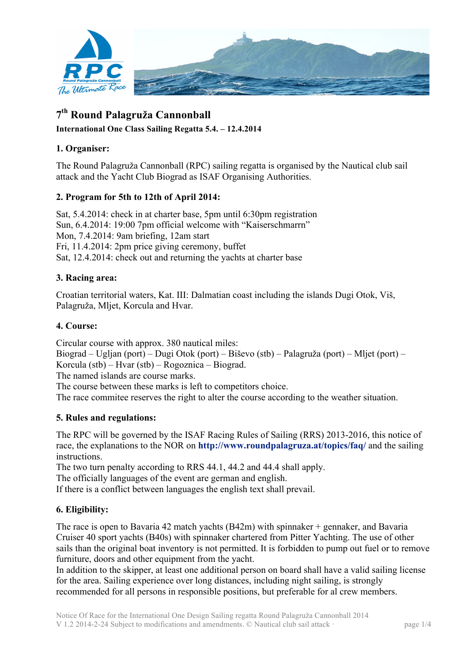

# **7th Round Palagruža Cannonball**

**International One Class Sailing Regatta 5.4. – 12.4.2014**

## **1. Organiser:**

The Round Palagruža Cannonball (RPC) sailing regatta is organised by the Nautical club sail attack and the Yacht Club Biograd as ISAF Organising Authorities.

## **2. Program for 5th to 12th of April 2014:**

Sat, 5.4.2014: check in at charter base, 5pm until 6:30pm registration Sun, 6.4.2014: 19:00 7pm official welcome with "Kaiserschmarrn" Mon, 7.4.2014: 9am briefing, 12am start Fri, 11.4.2014: 2pm price giving ceremony, buffet Sat, 12.4.2014: check out and returning the yachts at charter base

#### **3. Racing area:**

Croatian territorial waters, Kat. III: Dalmatian coast including the islands Dugi Otok, Viš, Palagruža, Mljet, Korcula and Hvar.

### **4. Course:**

Circular course with approx. 380 nautical miles:

Biograd – Ugljan (port) – Dugi Otok (port) – Biševo (stb) – Palagruža (port) – Mljet (port) – Korcula (stb) – Hvar (stb) – Rogoznica – Biograd.

The named islands are course marks.

The course between these marks is left to competitors choice.

The race commitee reserves the right to alter the course according to the weather situation.

#### **5. Rules and regulations:**

The RPC will be governed by the ISAF Racing Rules of Sailing (RRS) 2013-2016, this notice of race, the explanations to the NOR on **http://www.roundpalagruza.at/topics/faq/** and the sailing instructions.

The two turn penalty according to RRS 44.1, 44.2 and 44.4 shall apply.

The officially languages of the event are german and english.

If there is a conflict between languages the english text shall prevail.

#### **6. Eligibility:**

The race is open to Bavaria 42 match yachts  $(B42m)$  with spinnaker + gennaker, and Bavaria Cruiser 40 sport yachts (B40s) with spinnaker chartered from Pitter Yachting. The use of other sails than the original boat inventory is not permitted. It is forbidden to pump out fuel or to remove furniture, doors and other equipment from the yacht.

In addition to the skipper, at least one additional person on board shall have a valid sailing license for the area. Sailing experience over long distances, including night sailing, is strongly recommended for all persons in responsible positions, but preferable for al crew members.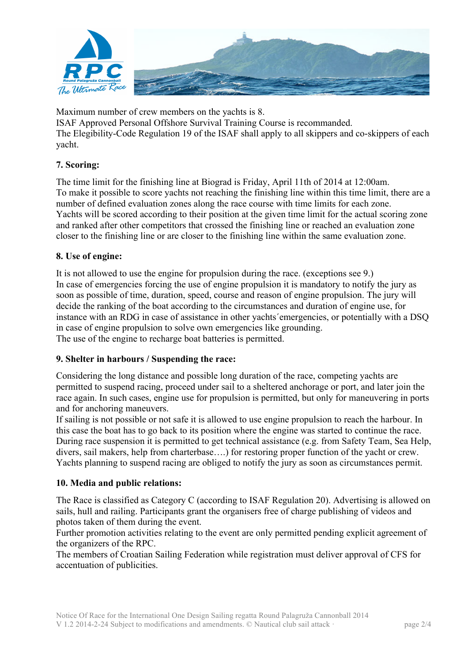

Maximum number of crew members on the yachts is 8. ISAF Approved Personal Offshore Survival Training Course is recommanded. The Elegibility-Code Regulation 19 of the ISAF shall apply to all skippers and co-skippers of each yacht.

## **7. Scoring:**

The time limit for the finishing line at Biograd is Friday, April 11th of 2014 at 12:00am. To make it possible to score yachts not reaching the finishing line within this time limit, there are a number of defined evaluation zones along the race course with time limits for each zone. Yachts will be scored according to their position at the given time limit for the actual scoring zone and ranked after other competitors that crossed the finishing line or reached an evaluation zone closer to the finishing line or are closer to the finishing line within the same evaluation zone.

#### **8. Use of engine:**

It is not allowed to use the engine for propulsion during the race. (exceptions see 9.) In case of emergencies forcing the use of engine propulsion it is mandatory to notify the jury as soon as possible of time, duration, speed, course and reason of engine propulsion. The jury will decide the ranking of the boat according to the circumstances and duration of engine use, for instance with an RDG in case of assistance in other yachts´emergencies, or potentially with a DSQ in case of engine propulsion to solve own emergencies like grounding. The use of the engine to recharge boat batteries is permitted.

#### **9. Shelter in harbours / Suspending the race:**

Considering the long distance and possible long duration of the race, competing yachts are permitted to suspend racing, proceed under sail to a sheltered anchorage or port, and later join the race again. In such cases, engine use for propulsion is permitted, but only for maneuvering in ports and for anchoring maneuvers.

If sailing is not possible or not safe it is allowed to use engine propulsion to reach the harbour. In this case the boat has to go back to its position where the engine was started to continue the race. During race suspension it is permitted to get technical assistance (e.g. from Safety Team, Sea Help, divers, sail makers, help from charterbase….) for restoring proper function of the yacht or crew. Yachts planning to suspend racing are obliged to notify the jury as soon as circumstances permit.

#### **10. Media and public relations:**

The Race is classified as Category C (according to ISAF Regulation 20). Advertising is allowed on sails, hull and railing. Participants grant the organisers free of charge publishing of videos and photos taken of them during the event.

Further promotion activities relating to the event are only permitted pending explicit agreement of the organizers of the RPC.

The members of Croatian Sailing Federation while registration must deliver approval of CFS for accentuation of publicities.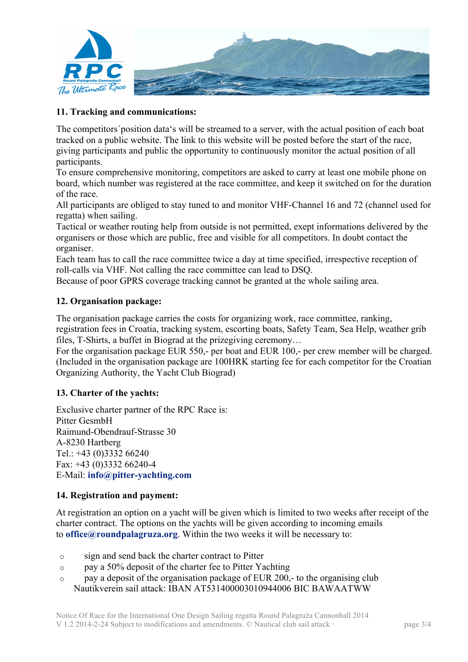

## **11. Tracking and communications:**

The competitors´position data's will be streamed to a server, with the actual position of each boat tracked on a public website. The link to this website will be posted before the start of the race, giving participants and public the opportunity to continuously monitor the actual position of all participants.

To ensure comprehensive monitoring, competitors are asked to carry at least one mobile phone on board, which number was registered at the race committee, and keep it switched on for the duration of the race.

All participants are obliged to stay tuned to and monitor VHF-Channel 16 and 72 (channel used for regatta) when sailing.

Tactical or weather routing help from outside is not permitted, exept informations delivered by the organisers or those which are public, free and visible for all competitors. In doubt contact the organiser.

Each team has to call the race committee twice a day at time specified, irrespective reception of roll-calls via VHF. Not calling the race committee can lead to DSQ.

Because of poor GPRS coverage tracking cannot be granted at the whole sailing area.

#### **12. Organisation package:**

The organisation package carries the costs for organizing work, race committee, ranking,

registration fees in Croatia, tracking system, escorting boats, Safety Team, Sea Help, weather grib files, T-Shirts, a buffet in Biograd at the prizegiving ceremony…

For the organisation package EUR 550,- per boat and EUR 100,- per crew member will be charged. (Included in the organisation package are 100HRK starting fee for each competitor for the Croatian Organizing Authority, the Yacht Club Biograd)

#### **13. Charter of the yachts:**

Exclusive charter partner of the RPC Race is: Pitter GesmbH Raimund-Obendrauf-Strasse 30 A-8230 Hartberg Tel.: +43 (0)3332 66240 Fax: +43 (0)3332 66240-4 E-Mail: **info@pitter-yachting.com**

#### **14. Registration and payment:**

At registration an option on a yacht will be given which is limited to two weeks after receipt of the charter contract. The options on the yachts will be given according to incoming emails to **office@roundpalagruza.org**. Within the two weeks it will be necessary to:

- o sign and send back the charter contract to Pitter
- o pay a 50% deposit of the charter fee to Pitter Yachting
- $\circ$  pay a deposit of the organisation package of EUR 200,- to the organising club Nautikverein sail attack: IBAN AT531400003010944006 BIC BAWAATWW